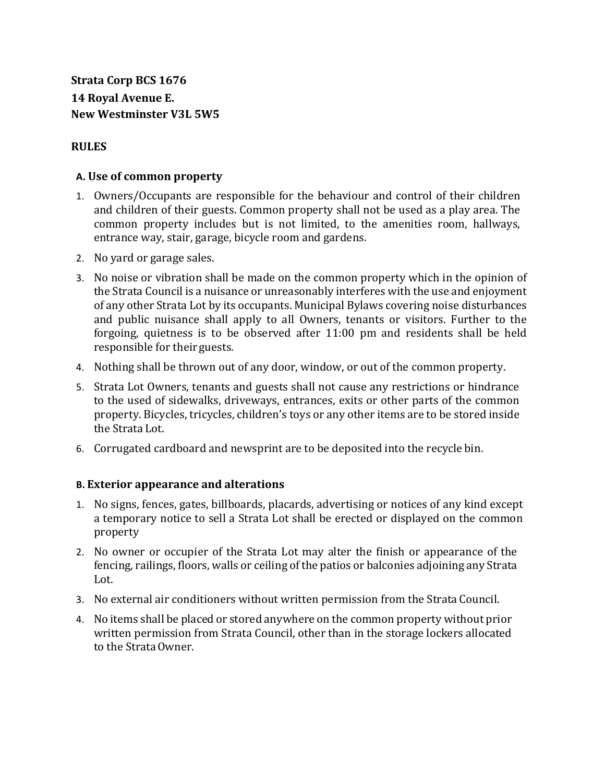**Strata Corp BCS 1676 14 Royal Avenue E. New Westminster V3L 5W5**

#### **RULES**

#### **A. Use of common property**

- 1. Owners/Occupants are responsible for the behaviour and control of their children and children of their guests. Common property shall not be used as a play area. The common property includes but is not limited, to the amenities room, hallways, entrance way, stair, garage, bicycle room and gardens.
- 2. No yard or garage sales.
- 3. No noise or vibration shall be made on the common property which in the opinion of the Strata Council is a nuisance or unreasonably interferes with the use and enjoyment of any other Strata Lot by its occupants. Municipal Bylaws covering noise disturbances and public nuisance shall apply to all Owners, tenants or visitors. Further to the forgoing, quietness is to be observed after 11:00 pm and residents shall be held responsible for their guests.
- 4. Nothing shall be thrown out of any door, window, or out of the common property.
- 5. Strata Lot Owners, tenants and guests shall not cause any restrictions or hindrance to the used of sidewalks, driveways, entrances, exits or other parts of the common property. Bicycles, tricycles, children's toys or any other items are to be stored inside the Strata Lot.
- 6. Corrugated cardboard and newsprint are to be deposited into the recycle bin.

#### **B. Exterior appearance and alterations**

- 1. No signs, fences, gates, billboards, placards, advertising or notices of any kind except a temporary notice to sell a Strata Lot shall be erected or displayed on the common property
- 2. No owner or occupier of the Strata Lot may alter the finish or appearance of the fencing, railings, floors, walls or ceiling of the patios or balconies adjoining any Strata Lot.
- 3. No external air conditioners without written permission from the Strata Council.
- 4. No items shall be placed or stored anywhere on the common property without prior written permission from Strata Council, other than in the storage lockers allocated to the StrataOwner.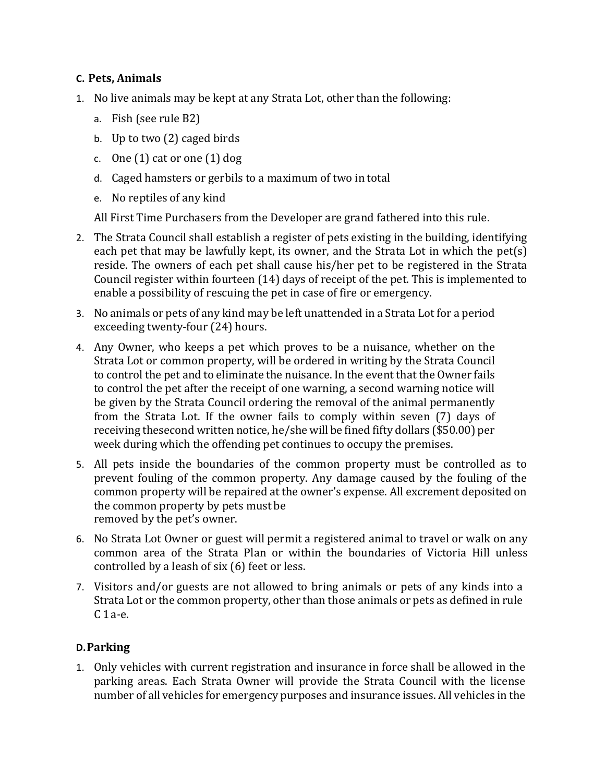## **C. Pets, Animals**

- 1. No live animals may be kept at any Strata Lot, other than the following:
	- a. Fish (see rule B2)
	- b. Up to two (2) caged birds
	- c. One (1) cat or one (1) dog
	- d. Caged hamsters or gerbils to a maximum of two in total
	- e. No reptiles of any kind

All First Time Purchasers from the Developer are grand fathered into this rule.

- 2. The Strata Council shall establish a register of pets existing in the building, identifying each pet that may be lawfully kept, its owner, and the Strata Lot in which the pet(s) reside. The owners of each pet shall cause his/her pet to be registered in the Strata Council register within fourteen (14) days of receipt of the pet. This is implemented to enable a possibility of rescuing the pet in case of fire or emergency.
- 3. No animals or pets of any kind may be left unattended in a Strata Lot for a period exceeding twenty-four (24) hours.
- 4. Any Owner, who keeps a pet which proves to be a nuisance, whether on the Strata Lot or common property, will be ordered in writing by the Strata Council to control the pet and to eliminate the nuisance. In the event that the Owner fails to control the pet after the receipt of one warning, a second warning notice will be given by the Strata Council ordering the removal of the animal permanently from the Strata Lot. If the owner fails to comply within seven (7) days of receiving thesecond written notice, he/she will be fined fifty dollars (\$50.00) per week during which the offending pet continues to occupy the premises.
- 5. All pets inside the boundaries of the common property must be controlled as to prevent fouling of the common property. Any damage caused by the fouling of the common property will be repaired at the owner's expense. All excrement deposited on the common property by pets must be removed by the pet's owner.
- 6. No Strata Lot Owner or guest will permit a registered animal to travel or walk on any common area of the Strata Plan or within the boundaries of Victoria Hill unless controlled by a leash of six (6) feet or less.
- 7. Visitors and/or guests are not allowed to bring animals or pets of any kinds into a Strata Lot or the common property, other than those animals or pets as defined in rule C 1a-e.

# **D.Parking**

1. Only vehicles with current registration and insurance in force shall be allowed in the parking areas. Each Strata Owner will provide the Strata Council with the license number of all vehicles for emergency purposes and insurance issues. All vehicles in the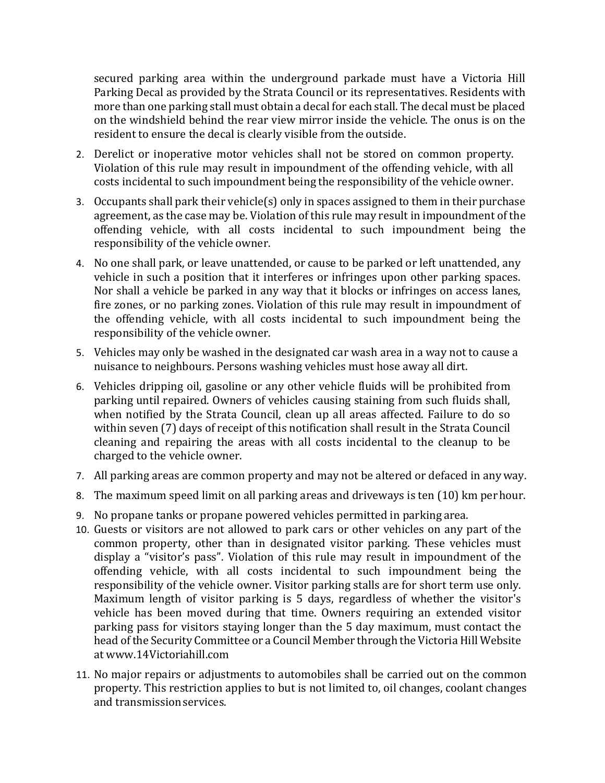secured parking area within the underground parkade must have a Victoria Hill Parking Decal as provided by the Strata Council or its representatives. Residents with more than one parking stall must obtain a decal for each stall. The decal must be placed on the windshield behind the rear view mirror inside the vehicle. The onus is on the resident to ensure the decal is clearly visible from the outside.

- 2. Derelict or inoperative motor vehicles shall not be stored on common property. Violation of this rule may result in impoundment of the offending vehicle, with all costs incidental to such impoundment being the responsibility of the vehicle owner.
- 3. Occupants shall park their vehicle(s) only in spaces assigned to them in their purchase agreement, as the case may be. Violation of this rule may result in impoundment of the offending vehicle, with all costs incidental to such impoundment being the responsibility of the vehicle owner.
- 4. No one shall park, or leave unattended, or cause to be parked or left unattended, any vehicle in such a position that it interferes or infringes upon other parking spaces. Nor shall a vehicle be parked in any way that it blocks or infringes on access lanes, fire zones, or no parking zones. Violation of this rule may result in impoundment of the offending vehicle, with all costs incidental to such impoundment being the responsibility of the vehicle owner.
- 5. Vehicles may only be washed in the designated car wash area in a way not to cause a nuisance to neighbours. Persons washing vehicles must hose away all dirt.
- 6. Vehicles dripping oil, gasoline or any other vehicle fluids will be prohibited from parking until repaired. Owners of vehicles causing staining from such fluids shall, when notified by the Strata Council, clean up all areas affected. Failure to do so within seven (7) days of receipt of this notification shall result in the Strata Council cleaning and repairing the areas with all costs incidental to the cleanup to be charged to the vehicle owner.
- 7. All parking areas are common property and may not be altered or defaced in any way.
- 8. The maximum speed limit on all parking areas and driveways is ten (10) km perhour.
- 9. No propane tanks or propane powered vehicles permitted in parking area.
- 10. Guests or visitors are not allowed to park cars or other vehicles on any part of the common property, other than in designated visitor parking. These vehicles must display a "visitor's pass". Violation of this rule may result in impoundment of the offending vehicle, with all costs incidental to such impoundment being the responsibility of the vehicle owner. Visitor parking stalls are for short term use only. Maximum length of visitor parking is 5 days, regardless of whether the visitor's vehicle has been moved during that time. Owners requiring an extended visitor parking pass for visitors staying longer than the 5 day maximum, must contact the head of the Security Committee or a Council Member through the Victoria Hill Website at [www.14Victoriahill.com](http://www.14victoriahill.com/)
- 11. No major repairs or adjustments to automobiles shall be carried out on the common property. This restriction applies to but is not limited to, oil changes, coolant changes and transmissionservices.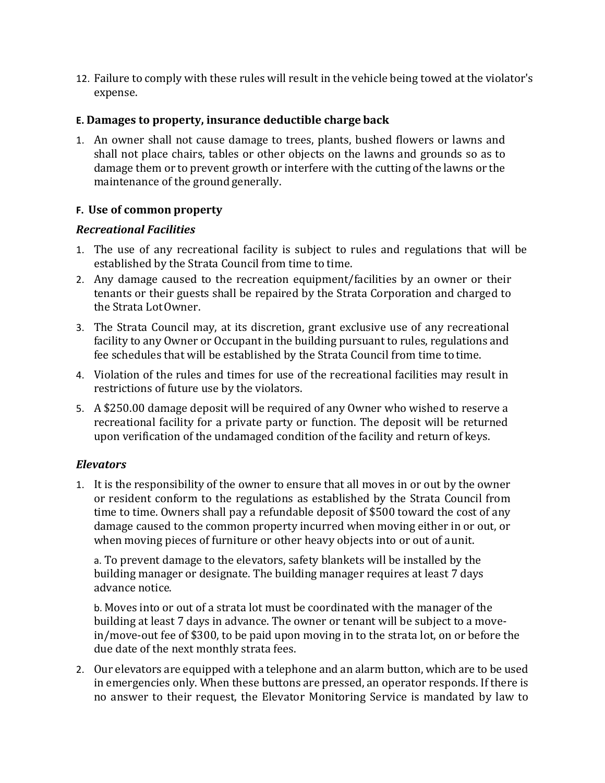12. Failure to comply with these rules will result in the vehicle being towed at the violator's expense.

### **E. Damages to property, insurance deductible charge back**

1. An owner shall not cause damage to trees, plants, bushed flowers or lawns and shall not place chairs, tables or other objects on the lawns and grounds so as to damage them or to prevent growth or interfere with the cutting of the lawns or the maintenance of the ground generally.

### **F. Use of common property**

#### *Recreational Facilities*

- 1. The use of any recreational facility is subject to rules and regulations that will be established by the Strata Council from time to time.
- 2. Any damage caused to the recreation equipment/facilities by an owner or their tenants or their guests shall be repaired by the Strata Corporation and charged to the Strata LotOwner.
- 3. The Strata Council may, at its discretion, grant exclusive use of any recreational facility to any Owner or Occupant in the building pursuant to rules, regulations and fee schedules that will be established by the Strata Council from time to time.
- 4. Violation of the rules and times for use of the recreational facilities may result in restrictions of future use by the violators.
- 5. A \$250.00 damage deposit will be required of any Owner who wished to reserve a recreational facility for a private party or function. The deposit will be returned upon verification of the undamaged condition of the facility and return of keys.

## *Elevators*

1. It is the responsibility of the owner to ensure that all moves in or out by the owner or resident conform to the regulations as established by the Strata Council from time to time. Owners shall pay a refundable deposit of \$500 toward the cost of any damage caused to the common property incurred when moving either in or out, or when moving pieces of furniture or other heavy objects into or out of aunit.

a. To prevent damage to the elevators, safety blankets will be installed by the building manager or designate. The building manager requires at least 7 days advance notice.

b. Moves into or out of a strata lot must be coordinated with the manager of the building at least 7 days in advance. The owner or tenant will be subject to a movein/move-out fee of \$300, to be paid upon moving in to the strata lot, on or before the due date of the next monthly strata fees.

2. Our elevators are equipped with a telephone and an alarm button, which are to be used in emergencies only. When these buttons are pressed, an operator responds. If there is no answer to their request, the Elevator Monitoring Service is mandated by law to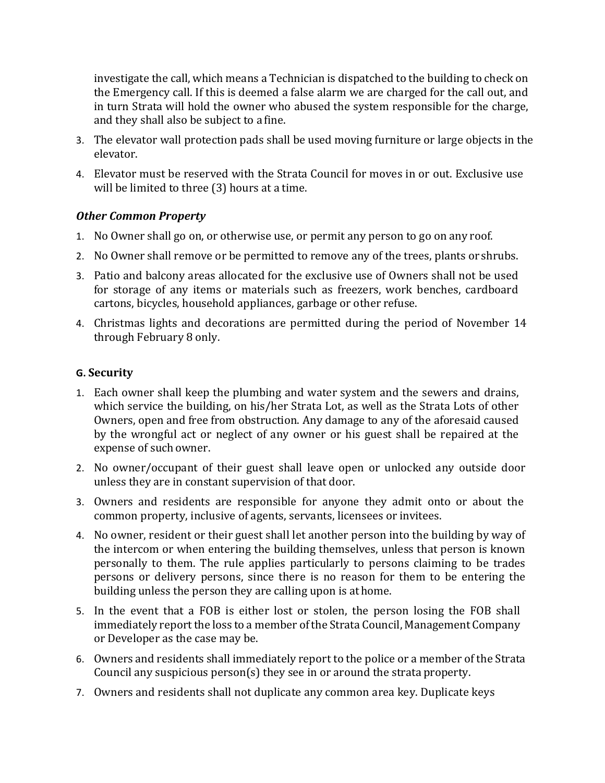investigate the call, which means a Technician is dispatched to the building to check on the Emergency call. If this is deemed a false alarm we are charged for the call out, and in turn Strata will hold the owner who abused the system responsible for the charge, and they shall also be subject to a fine.

- 3. The elevator wall protection pads shall be used moving furniture or large objects in the elevator.
- 4. Elevator must be reserved with the Strata Council for moves in or out. Exclusive use will be limited to three (3) hours at a time.

## *Other Common Property*

- 1. No Owner shall go on, or otherwise use, or permit any person to go on any roof.
- 2. No Owner shall remove or be permitted to remove any of the trees, plants or shrubs.
- 3. Patio and balcony areas allocated for the exclusive use of Owners shall not be used for storage of any items or materials such as freezers, work benches, cardboard cartons, bicycles, household appliances, garbage or other refuse.
- 4. Christmas lights and decorations are permitted during the period of November 14 through February 8 only.

#### **G. Security**

- 1. Each owner shall keep the plumbing and water system and the sewers and drains, which service the building, on his/her Strata Lot, as well as the Strata Lots of other Owners, open and free from obstruction. Any damage to any of the aforesaid caused by the wrongful act or neglect of any owner or his guest shall be repaired at the expense of such owner.
- 2. No owner/occupant of their guest shall leave open or unlocked any outside door unless they are in constant supervision of that door.
- 3. Owners and residents are responsible for anyone they admit onto or about the common property, inclusive of agents, servants, licensees or invitees.
- 4. No owner, resident or their guest shall let another person into the building by way of the intercom or when entering the building themselves, unless that person is known personally to them. The rule applies particularly to persons claiming to be trades persons or delivery persons, since there is no reason for them to be entering the building unless the person they are calling upon is athome.
- 5. In the event that a FOB is either lost or stolen, the person losing the FOB shall immediately report the loss to a member of the Strata Council, Management Company or Developer as the case may be.
- 6. Owners and residents shall immediately report to the police or a member of the Strata Council any suspicious person(s) they see in or around the strata property.
- 7. Owners and residents shall not duplicate any common area key. Duplicate keys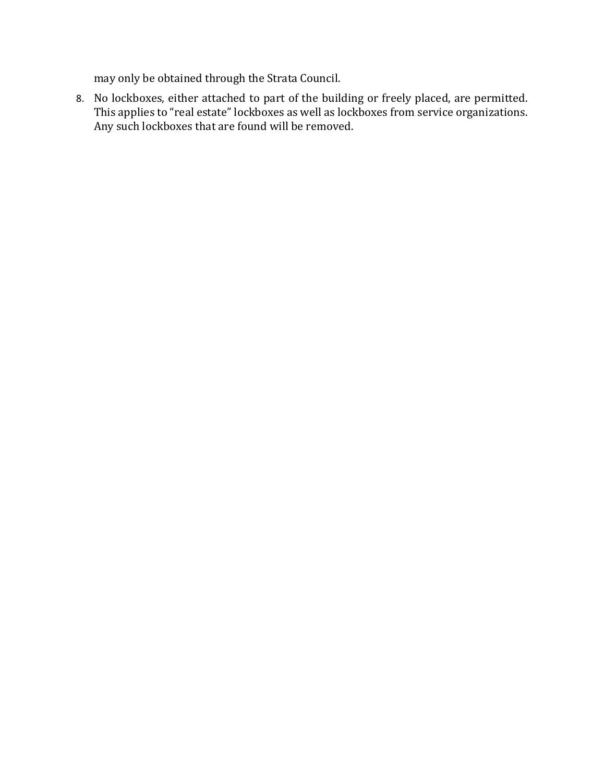may only be obtained through the Strata Council.

8. No lockboxes, either attached to part of the building or freely placed, are permitted. This applies to "real estate" lockboxes as well as lockboxes from service organizations. Any such lockboxes that are found will be removed.